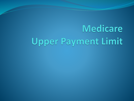# Medicare Upper Payment Limit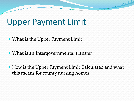#### Upper Payment Limit

- What is the Upper Payment Limit
- What is an Intergovernmental transfer
- How is the Upper Payment Limit Calculated and what this means for county nursing homes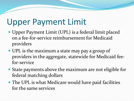## Upper Payment Limit

- Upper Payment Limit (UPL) is a federal limit placed on a fee-for-service reimbursement for Medicaid providers
- UPL is the maximum a state may pay a group of providers in the aggregate, statewide for Medicaid feefor-service
- State payments above the maximum are not eligible for federal matching dollars
- The UPL is what Medicare would have paid facilities for the same services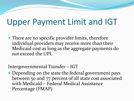# Upper Payment Limit and IGT

• There are no specific provider limits, therefore individual providers may receive more than their Medicaid cost as long as the aggregate payments do not exceed the UPL

Intergovernmental Transfer – IGT

 Depending on the state the federal government pays between 50 and 77 percent of all state cost associated with Medicaid – Federal Medical Assistance Percentage (FMAP)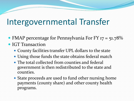## Intergovernmental Transfer

- FMAP percentage for Pennsylvania For FY 17 = 51.78%
- IGT Transaction
	- County facilities transfer UPL dollars to the state
	- Using those funds the state obtains federal match
	- The total collected from counties and federal government is then redistributed to the state and counties.
	- State proceeds are used to fund other nursing home payments (county share) and other county health programs.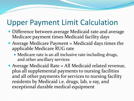#### Upper Payment Limit Calculation

- Difference between average Medicaid rate and average Medicare payment times Medicaid facility days
- Average Medicare Payment  $=$  Medicaid days times the applicable Medicare RUG rate
	- Medicare rate is an all inclusive rate including drugs, and other ancillary services
- Average Medicaid Rate = All Medicaid related revenue, plus all supplemental payments to nursing facilities and all other payments for services to nursing facility residents by Medicaid i.e. drugs, lab, x-ray, and exceptional durable medical equipment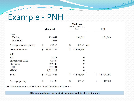# Example - PNH

|                         |   | <b>Medicaid</b> |               | Medicare<br>MA Days X Medicare<br>Rates |               | <b>UPL</b> |
|-------------------------|---|-----------------|---------------|-----------------------------------------|---------------|------------|
| Days<br>Facility        |   | 134,049         |               | 134,049                                 |               | 134,049    |
| <b>Bed Hold</b>         |   | 3,023           |               |                                         |               |            |
| Average revenue per day | S | 233.56          | S             | $365.23$ (a)                            |               |            |
| <b>Annual Revenue</b>   | S | 31,543,835      | S             | 48,958,716                              |               |            |
| Add:                    |   |                 |               |                                         |               |            |
| <b>HAI</b>              |   | 5,318           |               | $\mathbf{0}$                            |               |            |
| <b>Exceptional DME</b>  |   | 42,464          |               | $\mathbf{0}$                            |               |            |
| Pharmacy                |   | 559,748         |               | $\mathbf{0}$                            |               |            |
| <b>DSH</b>              |   | 572,131         |               | $\mathbf{0}$                            |               |            |
| MDOI                    |   | 1,511,129       |               | $\mathbf{0}$                            |               |            |
| Total                   | S | 34,234,625      | $\mathcal{S}$ | 48,958,716                              | $\mathcal{S}$ | 14,724,091 |
| Average per day         | S | 255.39          | S             | 365.23                                  | \$            | 109.84     |

(a) Weighted average of Medicaid days X Medicare RUG rates

All amounts shown are subject to change and for discussion only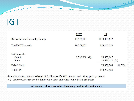#### IGT

Z

|                                               | <b>PNH</b>      | <b>All</b>                     |
|-----------------------------------------------|-----------------|--------------------------------|
| IGT cash Contribution by County               | \$7,973,113     | \$113,429,642                  |
| <b>Total IGT Proceeds</b>                     | 10,773,021      | 153,262,589                    |
| <b>Net Proceeds</b><br>County<br><b>State</b> | $2,799,908$ (b) | 39,832,947<br>$39,526,422$ (c) |
| <b>FMAP</b> Total                             |                 | 51.78%<br>79,359,369           |
| <b>Total UPL</b>                              |                 | 153,262,589                    |

(b) - allocation to counties = blend of facility specific UPL amount and a fixed per day amount

(c) - state proceeds are used to fund county share and other county health programs

All amounts shown are subject to change and for discussion only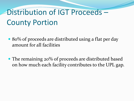# Distribution of IGT Proceeds – County Portion

- 80% of proceeds are distributed using a flat per day amount for all facilities
- The remaining 20% of proceeds are distributed based on how much each facility contributes to the UPL gap.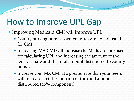#### How to Improve UPL Gap

- Improving Medicaid CMI will improve UPL
	- County nursing homes payment rates are not adjusted for CMI
	- Increasing MA CMI will increase the Medicare rate used for calculating UPL and increasing the amount of the federal share and the total amount distributed to county homes
	- Increase your MA CMI at a greater rate than your peers will increase facilities portion of the total amount distributed (20% component)